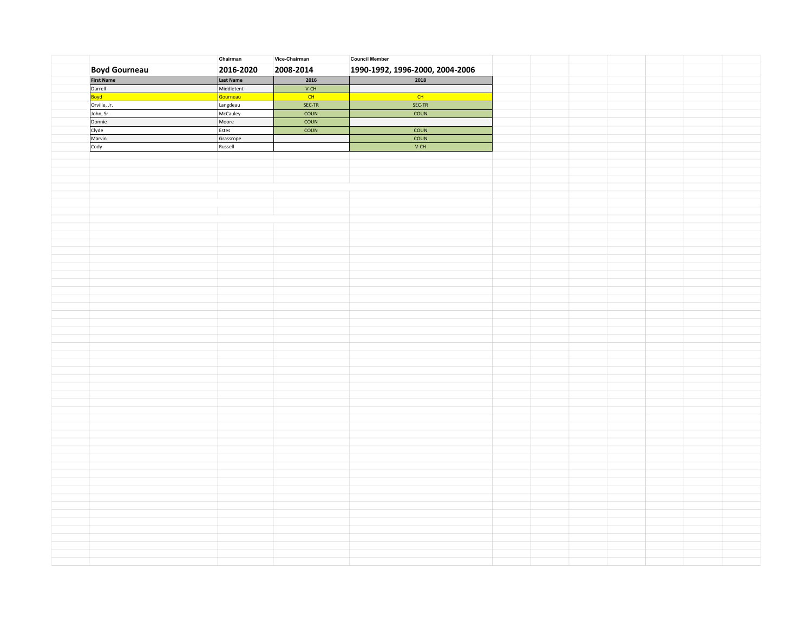|                      | Chairman   | Vice-Chairman | <b>Council Member</b>           |  |  |  |
|----------------------|------------|---------------|---------------------------------|--|--|--|
| <b>Boyd Gourneau</b> | 2016-2020  | 2008-2014     | 1990-1992, 1996-2000, 2004-2006 |  |  |  |
| <b>First Name</b>    | Last Name  | 2016          | 2018                            |  |  |  |
| Darrell              | Middletent | $V-CH$        |                                 |  |  |  |
| Boyd                 | Gourneau   | CH            | CH                              |  |  |  |
| Orville, Jr.         | Langdeau   | SEC-TR        | SEC-TR                          |  |  |  |
| John, Sr.            | McCauley   | COUN          | COUN                            |  |  |  |
| Donnie               | Moore      | <b>COUN</b>   |                                 |  |  |  |
| Clyde                | Estes      | COUN          | COUN                            |  |  |  |
| Marvin               | Grassrope  |               | COUN                            |  |  |  |
| Cody                 | Russell    |               | $V-CH$                          |  |  |  |
|                      |            |               |                                 |  |  |  |
|                      |            |               |                                 |  |  |  |
|                      |            |               |                                 |  |  |  |
|                      |            |               |                                 |  |  |  |
|                      |            |               |                                 |  |  |  |
|                      |            |               |                                 |  |  |  |
|                      |            |               |                                 |  |  |  |
|                      |            |               |                                 |  |  |  |
|                      |            |               |                                 |  |  |  |
|                      |            |               |                                 |  |  |  |
|                      |            |               |                                 |  |  |  |
|                      |            |               |                                 |  |  |  |
|                      |            |               |                                 |  |  |  |
|                      |            |               |                                 |  |  |  |
|                      |            |               |                                 |  |  |  |
|                      |            |               |                                 |  |  |  |
|                      |            |               |                                 |  |  |  |
|                      |            |               |                                 |  |  |  |
|                      |            |               |                                 |  |  |  |
|                      |            |               |                                 |  |  |  |
|                      |            |               |                                 |  |  |  |
|                      |            |               |                                 |  |  |  |
|                      |            |               |                                 |  |  |  |
|                      |            |               |                                 |  |  |  |
|                      |            |               |                                 |  |  |  |
|                      |            |               |                                 |  |  |  |
|                      |            |               |                                 |  |  |  |
|                      |            |               |                                 |  |  |  |
|                      |            |               |                                 |  |  |  |
|                      |            |               |                                 |  |  |  |
|                      |            |               |                                 |  |  |  |
|                      |            |               |                                 |  |  |  |
|                      |            |               |                                 |  |  |  |
|                      |            |               |                                 |  |  |  |
|                      |            |               |                                 |  |  |  |
|                      |            |               |                                 |  |  |  |
|                      |            |               |                                 |  |  |  |
|                      |            |               |                                 |  |  |  |
|                      |            |               |                                 |  |  |  |
|                      |            |               |                                 |  |  |  |
|                      |            |               |                                 |  |  |  |
|                      |            |               |                                 |  |  |  |
|                      |            |               |                                 |  |  |  |
|                      |            |               |                                 |  |  |  |
|                      |            |               |                                 |  |  |  |
|                      |            |               |                                 |  |  |  |
|                      |            |               |                                 |  |  |  |